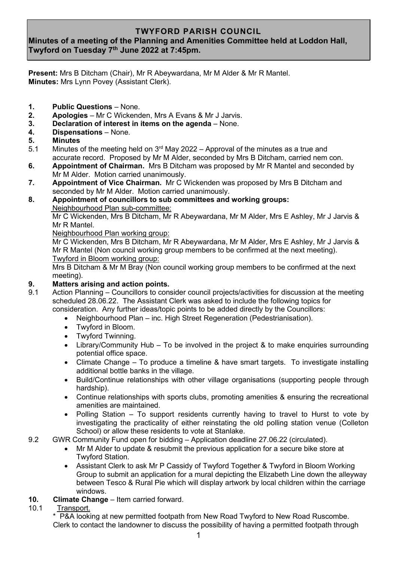# **TWYFORD PARISH COUNCIL**

# **Minutes of a meeting of the Planning and Amenities Committee held at Loddon Hall, Twyford on Tuesday 7 th June 2022 at 7:45pm.**

**Present:** Mrs B Ditcham (Chair), Mr R Abeywardana, Mr M Alder & Mr R Mantel. **Minutes:** Mrs Lynn Povey (Assistant Clerk).

- **1.** Public Questions None.<br>**2.** Apologies Mr C Wickend
- **2. Apologies** Mr C Wickenden, Mrs A Evans & Mr J Jarvis.
- **3. Declaration of interest in items on the agenda** None.
- **4. Dispensations** None.
- **5. Minutes**
- 5.1 Minutes of the meeting held on  $3<sup>rd</sup>$  May 2022 Approval of the minutes as a true and accurate record. Proposed by Mr M Alder, seconded by Mrs B Ditcham, carried nem con.
- **6. Appointment of Chairman.** Mrs B Ditcham was proposed by Mr R Mantel and seconded by Mr M Alder. Motion carried unanimously.
- **7. Appointment of Vice Chairman.** Mr C Wickenden was proposed by Mrs B Ditcham and seconded by Mr M Alder. Motion carried unanimously.
- **8. Appointment of councillors to sub committees and working groups:** Neighbourhood Plan sub-committee:

Mr C Wickenden, Mrs B Ditcham, Mr R Abeywardana, Mr M Alder, Mrs E Ashley, Mr J Jarvis & Mr R Mantel.

Neighbourhood Plan working group:

Mr C Wickenden, Mrs B Ditcham, Mr R Abeywardana, Mr M Alder, Mrs E Ashley, Mr J Jarvis & Mr R Mantel (Non council working group members to be confirmed at the next meeting). Twyford in Bloom working group:

Mrs B Ditcham & Mr M Bray (Non council working group members to be confirmed at the next meeting).

#### **9. Matters arising and action points.**

- 9.1 Action Planning Councillors to consider council projects/activities for discussion at the meeting scheduled 28.06.22. The Assistant Clerk was asked to include the following topics for consideration. Any further ideas/topic points to be added directly by the Councillors:
	- Neighbourhood Plan inc. High Street Regeneration (Pedestrianisation).
	- Twyford in Bloom.
	- **Twyford Twinning.**
	- Library/Community Hub To be involved in the project & to make enquiries surrounding potential office space.
	- Climate Change To produce a timeline & have smart targets. To investigate installing additional bottle banks in the village.
	- Build/Continue relationships with other village organisations (supporting people through hardship).
	- Continue relationships with sports clubs, promoting amenities & ensuring the recreational amenities are maintained.
	- Polling Station To support residents currently having to travel to Hurst to vote by investigating the practicality of either reinstating the old polling station venue (Colleton School) or allow these residents to vote at Stanlake.
- 9.2 GWR Community Fund open for bidding Application deadline 27.06.22 (circulated).
	- Mr M Alder to update & resubmit the previous application for a secure bike store at Twyford Station.
	- Assistant Clerk to ask Mr P Cassidy of Twyford Together & Twyford in Bloom Working Group to submit an application for a mural depicting the Elizabeth Line down the alleyway between Tesco & Rural Pie which will display artwork by local children within the carriage windows.
- **10. Climate Change** Item carried forward.<br>10.1 Transport.
- Transport.

 \* P&A looking at new permitted footpath from New Road Twyford to New Road Ruscombe. Clerk to contact the landowner to discuss the possibility of having a permitted footpath through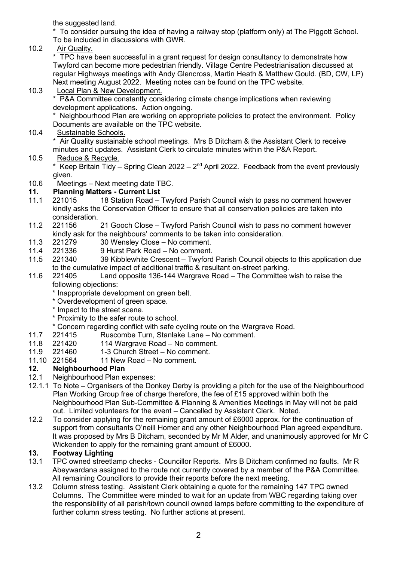the suggested land.

 \* To consider pursuing the idea of having a railway stop (platform only) at The Piggott School. To be included in discussions with GWR.

10.2 Air Quality.

\* TPC have been successful in a grant request for design consultancy to demonstrate how Twyford can become more pedestrian friendly. Village Centre Pedestrianisation discussed at regular Highways meetings with Andy Glencross, Martin Heath & Matthew Gould. (BD, CW, LP) Next meeting August 2022. Meeting notes can be found on the TPC website.

## 10.3 Local Plan & New Development.

 \* P&A Committee constantly considering climate change implications when reviewing development applications. Action ongoing.

 \* Neighbourhood Plan are working on appropriate policies to protect the environment. Policy Documents are available on the TPC website.

10.4 Sustainable Schools.

Air Quality sustainable school meetings. Mrs B Ditcham & the Assistant Clerk to receive minutes and updates. Assistant Clerk to circulate minutes within the P&A Report.

## 10.5 Reduce & Recycle.

\* Keep Britain Tidy – Spring Clean 2022 –  $2<sup>nd</sup>$  April 2022. Feedback from the event previously given.

10.6 Meetings – Next meeting date TBC.

## **11. Planning Matters - Current List**

- 11.1 221015 18 Station Road Twyford Parish Council wish to pass no comment however kindly asks the Conservation Officer to ensure that all conservation policies are taken into consideration.
- 11.2 221156 21 Gooch Close Twyford Parish Council wish to pass no comment however kindly ask for the neighbours' comments to be taken into consideration.<br>221279 30 Wensley Close – No comment.
- 11.3 221279 30 Wensley Close No comment.
- 11.4 221336 9 Hurst Park Road No comment.
- 11.5 221340 39 Kibblewhite Crescent Twyford Parish Council objects to this application due to the cumulative impact of additional traffic & resultant on-street parking.
- 11.6 221405 Land opposite 136-144 Wargrave Road The Committee wish to raise the following objections:
	- \* Inappropriate development on green belt.
	- \* Overdevelopment of green space.
	- \* Impact to the street scene.
	- \* Proximity to the safer route to school.
	- \* Concern regarding conflict with safe cycling route on the Wargrave Road.
- 11.7 221415 Ruscombe Turn, Stanlake Lane No comment.
- 11.8 221420 114 Wargrave Road No comment.
- 11.9 221460 1-3 Church Street No comment.
- 11.10 221564 11 New Road No comment.

# **12. Neighbourhood Plan**

- Neighbourhood Plan expenses:
- 12.1.1 To Note Organisers of the Donkey Derby is providing a pitch for the use of the Neighbourhood Plan Working Group free of charge therefore, the fee of  $£15$  approved within both the Neighbourhood Plan Sub-Committee & Planning & Amenities Meetings in May will not be paid out. Limited volunteers for the event – Cancelled by Assistant Clerk. Noted.
- 12.2 To consider applying for the remaining grant amount of £6000 approx. for the continuation of support from consultants O'neill Homer and any other Neighbourhood Plan agreed expenditure. It was proposed by Mrs B Ditcham, seconded by Mr M Alder, and unanimously approved for Mr C Wickenden to apply for the remaining grant amount of £6000.

#### **13. Footway Lighting**

- 13.1 TPC owned streetlamp checks Councillor Reports. Mrs B Ditcham confirmed no faults. Mr R Abeywardana assigned to the route not currently covered by a member of the P&A Committee. All remaining Councillors to provide their reports before the next meeting.
- 13.2 Column stress testing. Assistant Clerk obtaining a quote for the remaining 147 TPC owned Columns. The Committee were minded to wait for an update from WBC regarding taking over the responsibility of all parish/town council owned lamps before committing to the expenditure of further column stress testing. No further actions at present.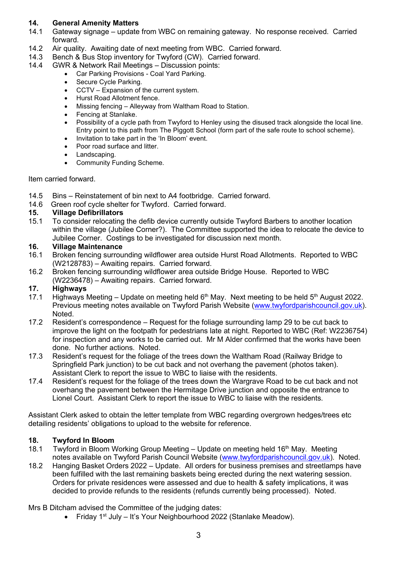## **14. General Amenity Matters**

- 14.1 Gateway signage update from WBC on remaining gateway. No response received. Carried forward.
- 14.2 Air quality. Awaiting date of next meeting from WBC. Carried forward.
- 14.3 Bench & Bus Stop inventory for Twyford (CW). Carried forward.
- 14.4 GWR & Network Rail Meetings Discussion points:
	- Car Parking Provisions Coal Yard Parking.
	- Secure Cycle Parking.
	- CCTV Expansion of the current system.
	- Hurst Road Allotment fence.
	- Missing fencing Alleyway from Waltham Road to Station.
	- Fencing at Stanlake.
	- Possibility of a cycle path from Twyford to Henley using the disused track alongside the local line. Entry point to this path from The Piggott School (form part of the safe route to school scheme).
	- Invitation to take part in the 'In Bloom' event.
	- Poor road surface and litter.
	- Landscaping.
	- Community Funding Scheme.

Item carried forward.

- 14.5 Bins Reinstatement of bin next to A4 footbridge. Carried forward.
- 14.6 Green roof cycle shelter for Twyford. Carried forward.

#### **15. Village Defibrillators**

15.1 To consider relocating the defib device currently outside Twyford Barbers to another location within the village (Jubilee Corner?). The Committee supported the idea to relocate the device to Jubilee Corner. Costings to be investigated for discussion next month.

#### **16. Village Maintenance**

- 16.1 Broken fencing surrounding wildflower area outside Hurst Road Allotments. Reported to WBC (W2128783) – Awaiting repairs. Carried forward.
- 16.2 Broken fencing surrounding wildflower area outside Bridge House. Reported to WBC (W2236478) – Awaiting repairs. Carried forward.

#### **17. Highways**

- 17.1 Highways Meeting Update on meeting held  $6<sup>th</sup>$  May. Next meeting to be held  $5<sup>th</sup>$  August 2022. Previous meeting notes available on Twyford Parish Website [\(www.twyfordparishcouncil.gov.uk\)](http://www.twyfordparishcouncil.gov.uk/). Noted.
- 17.2 Resident's correspondence Request for the foliage surrounding lamp 29 to be cut back to improve the light on the footpath for pedestrians late at night. Reported to WBC (Ref: W2236754) for inspection and any works to be carried out. Mr M Alder confirmed that the works have been done. No further actions. Noted.
- 17.3 Resident's request for the foliage of the trees down the Waltham Road (Railway Bridge to Springfield Park junction) to be cut back and not overhang the pavement (photos taken). Assistant Clerk to report the issue to WBC to liaise with the residents.
- 17.4 Resident's request for the foliage of the trees down the Wargrave Road to be cut back and not overhang the pavement between the Hermitage Drive junction and opposite the entrance to Lionel Court. Assistant Clerk to report the issue to WBC to liaise with the residents.

Assistant Clerk asked to obtain the letter template from WBC regarding overgrown hedges/trees etc detailing residents' obligations to upload to the website for reference.

#### **18. Twyford In Bloom**

- 18.1 Twyford in Bloom Working Group Meeting Update on meeting held 16<sup>th</sup> May. Meeting notes available on Twyford Parish Council Website [\(www.twyfordparishcouncil.gov.uk\)](http://www.twyfordparishcouncil.gov.uk/). Noted.
- 18.2 Hanging Basket Orders 2022 Update. All orders for business premises and streetlamps have been fulfilled with the last remaining baskets being erected during the next watering session. Orders for private residences were assessed and due to health & safety implications, it was decided to provide refunds to the residents (refunds currently being processed). Noted.

Mrs B Ditcham advised the Committee of the judging dates:

• Friday 1<sup>st</sup> July – It's Your Neighbourhood 2022 (Stanlake Meadow).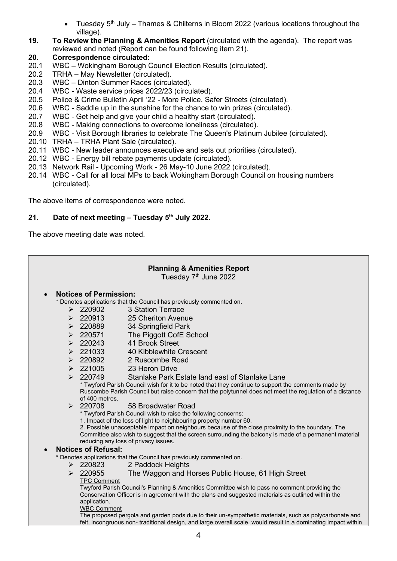- Tuesday  $5<sup>th</sup>$  July Thames & Chilterns in Bloom 2022 (various locations throughout the village).
- **19. To Review the Planning & Amenities Report** (circulated with the agenda). The report was reviewed and noted (Report can be found following item 21).

#### **20. Correspondence circulated:**

- 20.1 WBC Wokingham Borough Council Election Results (circulated).
- 20.2 TRHA May Newsletter (circulated).
- 20.3 WBC Dinton Summer Races (circulated).
- 20.4 WBC Waste service prices 2022/23 (circulated).
- 20.5 Police & Crime Bulletin April '22 More Police. Safer Streets (circulated).
- 20.6 WBC Saddle up in the sunshine for the chance to win prizes (circulated).
- 20.7 WBC Get help and give your child a healthy start (circulated).
- 20.8 WBC Making connections to overcome loneliness (circulated).
- 20.9 WBC Visit Borough libraries to celebrate The Queen's Platinum Jubilee (circulated).
- 20.10 TRHA TRHA Plant Sale (circulated).
- 20.11 WBC New leader announces executive and sets out priorities (circulated).
- 20.12 WBC Energy bill rebate payments update (circulated).
- 20.13 Network Rail Upcoming Work 26 May-10 June 2022 (circulated).
- 20.14 WBC Call for all local MPs to back Wokingham Borough Council on housing numbers (circulated).

The above items of correspondence were noted.

#### **21. Date of next meeting – Tuesday 5 th July 2022.**

The above meeting date was noted.

| <b>Planning &amp; Amenities Report</b><br>Tuesday 7 <sup>th</sup> June 2022 |                                                                                                                |                                                                                                                                                                                                                                                     |  |
|-----------------------------------------------------------------------------|----------------------------------------------------------------------------------------------------------------|-----------------------------------------------------------------------------------------------------------------------------------------------------------------------------------------------------------------------------------------------------|--|
| $\bullet$                                                                   | <b>Notices of Permission:</b>                                                                                  |                                                                                                                                                                                                                                                     |  |
|                                                                             |                                                                                                                | * Denotes applications that the Council has previously commented on.                                                                                                                                                                                |  |
|                                                                             | $\geq 220902$                                                                                                  | 3 Station Terrace                                                                                                                                                                                                                                   |  |
|                                                                             | 220913<br>$\blacktriangleright$                                                                                | 25 Cheriton Avenue                                                                                                                                                                                                                                  |  |
|                                                                             | $\geq 220889$                                                                                                  | 34 Springfield Park                                                                                                                                                                                                                                 |  |
|                                                                             | $\geq 220571$                                                                                                  | The Piggott CofE School                                                                                                                                                                                                                             |  |
|                                                                             | $\geq 220243$                                                                                                  | 41 Brook Street                                                                                                                                                                                                                                     |  |
|                                                                             | $\geq 221033$                                                                                                  | 40 Kibblewhite Crescent                                                                                                                                                                                                                             |  |
|                                                                             | $\geq 220892$                                                                                                  | 2 Ruscombe Road                                                                                                                                                                                                                                     |  |
|                                                                             | $\geq 221005$                                                                                                  | 23 Heron Drive                                                                                                                                                                                                                                      |  |
|                                                                             | $\geq 220749$                                                                                                  | Stanlake Park Estate land east of Stanlake Lane                                                                                                                                                                                                     |  |
|                                                                             | of 400 metres.                                                                                                 | * Twyford Parish Council wish for it to be noted that they continue to support the comments made by<br>Ruscombe Parish Council but raise concern that the polytunnel does not meet the regulation of a distance                                     |  |
|                                                                             | $\geq 220708$                                                                                                  | 58 Broadwater Road                                                                                                                                                                                                                                  |  |
|                                                                             |                                                                                                                | * Twyford Parish Council wish to raise the following concerns:                                                                                                                                                                                      |  |
|                                                                             | 1. Impact of the loss of light to neighbouring property number 60.                                             |                                                                                                                                                                                                                                                     |  |
|                                                                             |                                                                                                                | 2. Possible unacceptable impact on neighbours because of the close proximity to the boundary. The<br>Committee also wish to suggest that the screen surrounding the balcony is made of a permanent material<br>reducing any loss of privacy issues. |  |
| $\bullet$                                                                   | <b>Notices of Refusal:</b>                                                                                     |                                                                                                                                                                                                                                                     |  |
| * Denotes applications that the Council has previously commented on.        |                                                                                                                |                                                                                                                                                                                                                                                     |  |
|                                                                             | $\triangleright$ 220823                                                                                        | 2 Paddock Heights                                                                                                                                                                                                                                   |  |
|                                                                             | $\geq 220955$                                                                                                  | The Waggon and Horses Public House, 61 High Street                                                                                                                                                                                                  |  |
|                                                                             | <b>TPC Comment</b>                                                                                             |                                                                                                                                                                                                                                                     |  |
|                                                                             |                                                                                                                | Twyford Parish Council's Planning & Amenities Committee wish to pass no comment providing the                                                                                                                                                       |  |
|                                                                             | application.                                                                                                   | Conservation Officer is in agreement with the plans and suggested materials as outlined within the                                                                                                                                                  |  |
|                                                                             | <b>WBC Comment</b>                                                                                             |                                                                                                                                                                                                                                                     |  |
|                                                                             | The proposed pergola and garden pods due to their un-sympathetic materials, such as polycarbonate and          |                                                                                                                                                                                                                                                     |  |
|                                                                             | felt, incongruous non- traditional design, and large overall scale, would result in a dominating impact within |                                                                                                                                                                                                                                                     |  |